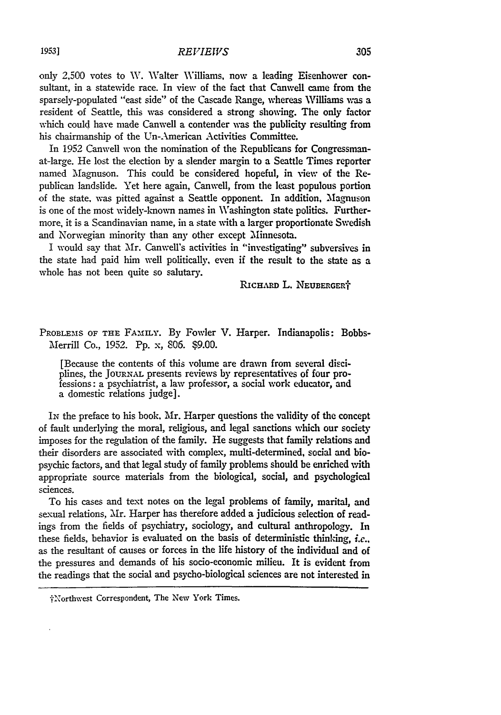only 2,500 votes to W. Walter Williams, now a leading Eisenhower consultant, in a statewide race. In view of the fact that Canwell came from the sparsely-populated "east side" of the Cascade Range, whereas Williams was a resident of Seattle, this was considered a strong showing. The only factor which could have made Canwell a contender was the publicity resulting from his chairmanship of the Un-American Activities Committee.

In 1952 Canwell won the nomination of the Republicans for Congressmanat-large. He lost the election by a slender margin to a Seattle Times reporter named Magnuson. This could be considered hopeful, in view of the Republican landslide. Yet here again, Canwell, from the least populous portion of the state, was pitted against a Seattle opponent. In addition, Magnuson is one of the most widely-known names in Washington state politics. Furthermore, it is a Scandinavian nane, in a state with a larger proportionate Swedish and Norwegian minority than any other except Minnesota.

I would say that Mr. Canwell's activities in "investigating" subversives in the state had paid him well politically, even if the result to the state as a whole has not been quite so salutary.

RICHARD L. NEUBERGERT

PROBLEMS OF THE FAMILY. By Fowler V. Harper. Indianapolis: Bobbs-Merrill Co., 1952. Pp. x, 806. \$9.00.

[Because the contents of this volume are drawn from several disciplines, the JouRN. presents reviews by representatives of four professions: a psychiatrist, a law professor, a social work educator, and a domestic relations judge].

**IN** the preface to his book. Mr. Harper questions the validity of the concept of fault underlying the moral, religious, and legal sanctions which our society imposes for the regulation of the family. He suggests that family relations and their disorders are associated with complex, multi-determined, social and biopsychic factors, and that legal study of family problems should be enriched with appropriate source materials from the biological, social, and psychological sciences.

To his cases and text notes on the legal problems of family, marital, and sexual relations, Mr. Harper has therefore added a judicious selection of readings from the fields of psychiatry, sociology, and cultural anthropology. In these fields, behavior is evaluated on the basis of deterministic thinking, *ie.,* as the resultant of causes or forces in the life history of the individual and of the pressures and demands of his socio-economic milieu. It is evident from the readings that the social and psycho-biological sciences are not interested in

<sup>\*&#</sup>x27;torthwest Correspondent, The New York Times.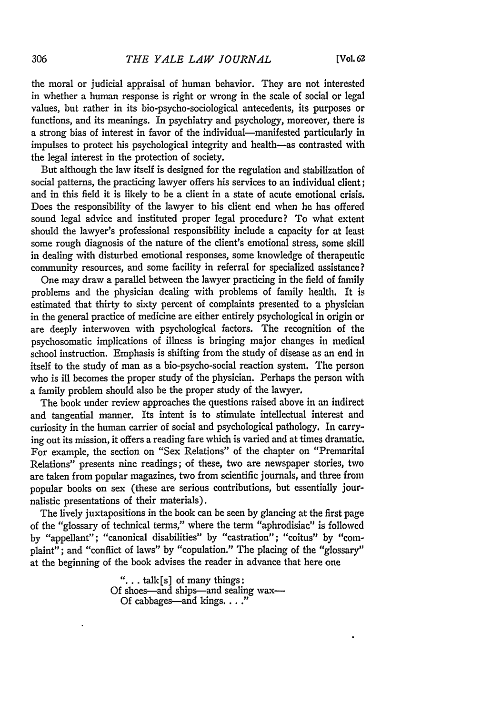the moral or judicial appraisal of human behavior. They are not interested in whether a human response is right or wrong in the scale of social or legal values, but rather in its bio-psycho-sociological antecedents, its purposes or functions, and its meanings. In psychiatry and psychology, moreover, there is a strong bias of interest in favor of the individual-manifested particularly in impulses to protect his psychological integrity and health-as contrasted with the legal interest in the protection of society.

But although the law itself is designed for the regulation and stabilization of social patterns, the practicing lawyer offers his services to an individual client; and in this field it is likely to be a client in a state of acute emotional crisis. Does the responsibility of the lawyer to his client end when he has offered sound legal advice and instituted proper legal procedure? To what extent should the lawyer's professional responsibility include a capacity for at least some rough diagnosis of the nature of the client's emotional stress, some skill in dealing with disturbed emotional responses, some knowledge of therapeutic community resources, and some facility in referral for specialized assistance?

One may draw a parallel between the lawyer practicing in the field of family problems and the physician dealing with problems of family health. It is estimated that thirty to sixty percent of complaints presented to a physician in the general practice of medicine are either entirely psychological in origin or are deeply interwoven with psychological factors. The recognition of the psychosomatic implications of illness is bringing major changes in medical school instruction. Emphasis is shifting from the study of disease as an end in itself to the study of man as a bio-psycho-social reaction system. The person who is ill becomes the proper study of the physician. Perhaps the person with a family problem should also be the proper study of the lawyer.

The book under review approaches the questions raised above in an indirect and tangential manner. Its intent is to stimulate intellectual interest and curiosity in the human carrier of social and psychological pathology. In carrying out its mission, it offers a reading fare which is varied and at times dramatic. For example, the section on "Sex Relations" of the chapter on "Premarital Relations" presents nine readings; of these, two are newspaper stories, two are taken from popular magazines, two from scientific journals, and three from popular books on sex (these are serious contributions, but essentially journalistic presentations of their materials).

The lively juxtapositions in the book can be seen **by** glancing at the first page of the "glossary of technical terms," where the term "aphrodisiac" is followed **by** "appellant"; "canonical disabilities" **by** "castration"; "coitus" **by** "complaint"; and "conflict of laws" **by** "copulation." The placing of the "glossary" at the beginning of the book advises the reader in advance that here one

> **"...** talk[s] of many things: Of shoes-and ships-and sealing wax-Of cabbages—and kings. . . .<sup>1</sup>